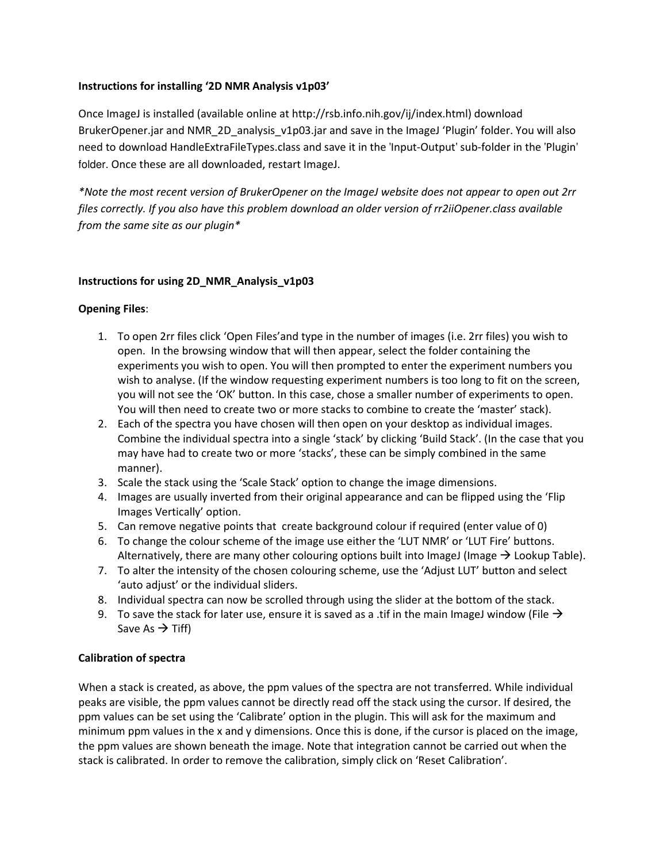## Instructions for installing '2D NMR Analysis v1p03'

Once ImageJ is installed (available online at http://rsb.info.nih.gov/ij/index.html) download BrukerOpener.jar and NMR\_2D\_analysis\_v1p03.jar and save in the ImageJ 'Plugin' folder. You will also need to download HandleExtraFileTypes.class and save it in the 'Input-Output' sub-folder in the 'Plugin' folder. Once these are all downloaded, restart ImageJ.

\*Note the most recent version of BrukerOpener on the ImageJ website does not appear to open out 2rr files correctly. If you also have this problem download an older version of rr2iiOpener.class available from the same site as our plugin\*

#### Instructions for using 2D\_NMR\_Analysis\_v1p03

#### Opening Files:

- 1. To open 2rr files click 'Open Files'and type in the number of images (i.e. 2rr files) you wish to open. In the browsing window that will then appear, select the folder containing the experiments you wish to open. You will then prompted to enter the experiment numbers you wish to analyse. (If the window requesting experiment numbers is too long to fit on the screen, you will not see the 'OK' button. In this case, chose a smaller number of experiments to open. You will then need to create two or more stacks to combine to create the 'master' stack).
- 2. Each of the spectra you have chosen will then open on your desktop as individual images. Combine the individual spectra into a single 'stack' by clicking 'Build Stack'. (In the case that you may have had to create two or more 'stacks', these can be simply combined in the same manner).
- 3. Scale the stack using the 'Scale Stack' option to change the image dimensions.
- 4. Images are usually inverted from their original appearance and can be flipped using the 'Flip Images Vertically' option.
- 5. Can remove negative points that create background colour if required (enter value of 0)
- 6. To change the colour scheme of the image use either the 'LUT NMR' or 'LUT Fire' buttons. Alternatively, there are many other colouring options built into ImageJ (Image  $\rightarrow$  Lookup Table).
- 7. To alter the intensity of the chosen colouring scheme, use the 'Adjust LUT' button and select 'auto adjust' or the individual sliders.
- 8. Individual spectra can now be scrolled through using the slider at the bottom of the stack.
- 9. To save the stack for later use, ensure it is saved as a .tif in the main ImageJ window (File  $\rightarrow$ Save As  $\rightarrow$  Tiff)

#### Calibration of spectra

When a stack is created, as above, the ppm values of the spectra are not transferred. While individual peaks are visible, the ppm values cannot be directly read off the stack using the cursor. If desired, the ppm values can be set using the 'Calibrate' option in the plugin. This will ask for the maximum and minimum ppm values in the x and y dimensions. Once this is done, if the cursor is placed on the image, the ppm values are shown beneath the image. Note that integration cannot be carried out when the stack is calibrated. In order to remove the calibration, simply click on 'Reset Calibration'.